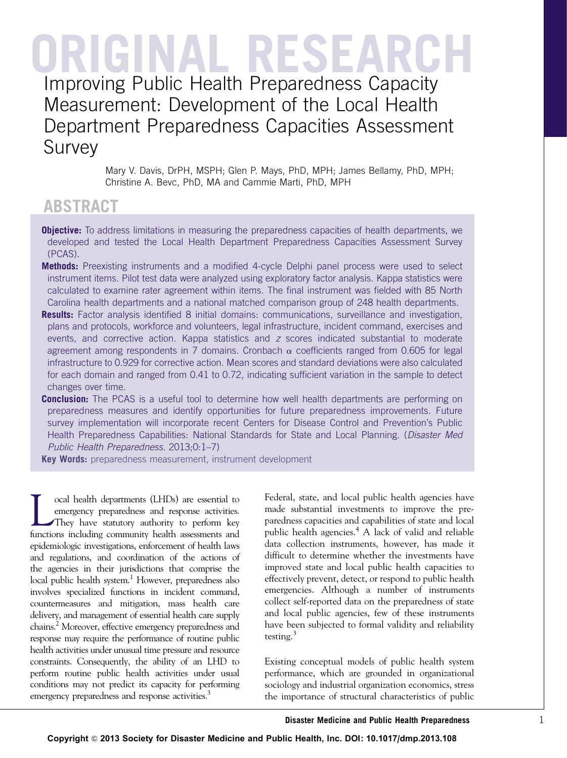# RIGINAL RESEAR

Improving Public Health Preparedness Capacity Measurement: Development of the Local Health Department Preparedness Capacities Assessment Survey

> Mary V. Davis, DrPH, MSPH; Glen P. Mays, PhD, MPH; James Bellamy, PhD, MPH; Christine A. Bevc, PhD, MA and Cammie Marti, PhD, MPH

# ABSTRACT

- **Objective:** To address limitations in measuring the preparedness capacities of health departments, we developed and tested the Local Health Department Preparedness Capacities Assessment Survey (PCAS).
- Methods: Preexisting instruments and a modified 4-cycle Delphi panel process were used to select instrument items. Pilot test data were analyzed using exploratory factor analysis. Kappa statistics were calculated to examine rater agreement within items. The final instrument was fielded with 85 North Carolina health departments and a national matched comparison group of 248 health departments.
- **Results:** Factor analysis identified 8 initial domains: communications, surveillance and investigation, plans and protocols, workforce and volunteers, legal infrastructure, incident command, exercises and events, and corrective action. Kappa statistics and z scores indicated substantial to moderate agreement among respondents in 7 domains. Cronbach  $\alpha$  coefficients ranged from 0.605 for legal infrastructure to 0.929 for corrective action. Mean scores and standard deviations were also calculated for each domain and ranged from 0.41 to 0.72, indicating sufficient variation in the sample to detect changes over time.
- **Conclusion:** The PCAS is a useful tool to determine how well health departments are performing on preparedness measures and identify opportunities for future preparedness improvements. Future survey implementation will incorporate recent Centers for Disease Control and Prevention's Public Health Preparedness Capabilities: National Standards for State and Local Planning. (Disaster Med Public Health Preparedness. 2013;0:1–7)

Key Words: preparedness measurement, instrument development

ocal health departments (LHDs) are essential to emergency preparedness and response activities. They have statutory authority to perform key functions including community health assessments and epidemiologic investigations, enforcement of health laws and regulations, and coordination of the actions of the agencies in their jurisdictions that comprise the local public health system.<sup>1</sup> However, preparedness also involves specialized functions in incident command, countermeasures and mitigation, mass health care delivery, and management of essential health care supply chains.<sup>2</sup> Moreover, effective emergency preparedness and response may require the performance of routine public health activities under unusual time pressure and resource constraints. Consequently, the ability of an LHD to perform routine public health activities under usual conditions may not predict its capacity for performing emergency preparedness and response activities.<sup>3</sup>

Federal, state, and local public health agencies have made substantial investments to improve the preparedness capacities and capabilities of state and local public health agencies.<sup>[4](#page-5-0)</sup> A lack of valid and reliable data collection instruments, however, has made it difficult to determine whether the investments have improved state and local public health capacities to effectively prevent, detect, or respond to public health emergencies. Although a number of instruments collect self-reported data on the preparedness of state and local public agencies, few of these instruments have been subjected to formal validity and reliability testing. $3$ 

Existing conceptual models of public health system performance, which are grounded in organizational sociology and industrial organization economics, stress the importance of structural characteristics of public

Disaster Medicine and Public Health Preparedness  $1$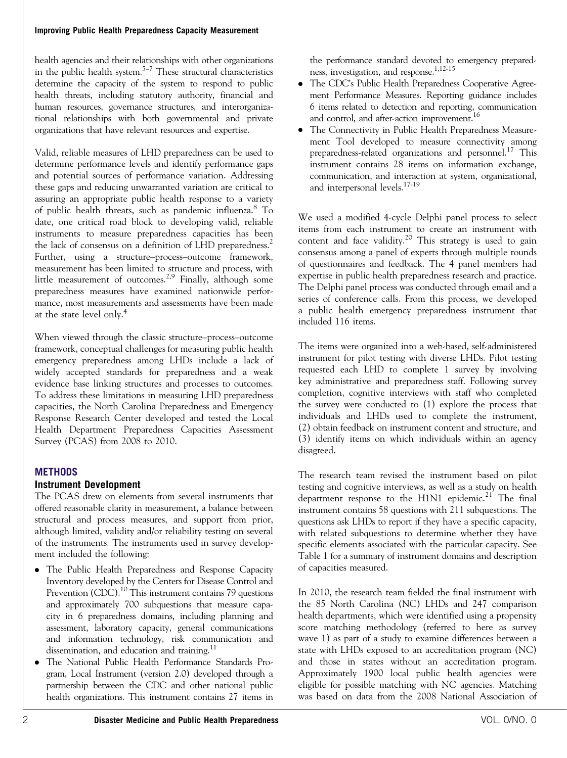health agencies and their relationships with other organizations in the public health system.<sup>[5–7](#page-5-0)</sup> These structural characteristics determine the capacity of the system to respond to public health threats, including statutory authority, financial and human resources, governance structures, and interorganizational relationships with both governmental and private organizations that have relevant resources and expertise.

Valid, reliable measures of LHD preparedness can be used to determine performance levels and identify performance gaps and potential sources of performance variation. Addressing these gaps and reducing unwarranted variation are critical to assuring an appropriate public health response to a variety of public health threats, such as pandemic influenza.<sup>[8](#page-5-0)</sup> To date, one critical road block to developing valid, reliable instruments to measure preparedness capacities has been the lack of consensus on a definition of LHD preparedness.<sup>[2](#page-5-0)</sup> Further, using a structure–process–outcome framework, measurement has been limited to structure and process, with little measurement of outcomes.<sup>[2](#page-5-0),[9](#page-5-0)</sup> Finally, although some preparedness measures have examined nationwide performance, most measurements and assessments have been made at the state level only.[4](#page-5-0)

When viewed through the classic structure–process–outcome framework, conceptual challenges for measuring public health emergency preparedness among LHDs include a lack of widely accepted standards for preparedness and a weak evidence base linking structures and processes to outcomes. To address these limitations in measuring LHD preparedness capacities, the North Carolina Preparedness and Emergency Response Research Center developed and tested the Local Health Department Preparedness Capacities Assessment Survey (PCAS) from 2008 to 2010.

# **METHODS**

# Instrument Development

The PCAS drew on elements from several instruments that offered reasonable clarity in measurement, a balance between structural and process measures, and support from prior, although limited, validity and/or reliability testing on several of the instruments. The instruments used in survey development included the following:

- <sup>&</sup>gt; The Public Health Preparedness and Response Capacity Inventory developed by the Centers for Disease Control and Prevention (CDC).<sup>10</sup> This instrument contains 79 questions and approximately 700 subquestions that measure capacity in 6 preparedness domains, including planning and assessment, laboratory capacity, general communications and information technology, risk communication and dissemination, and education and training. $^{11}$  $^{11}$  $^{11}$
- <sup>&</sup>gt; The National Public Health Performance Standards Program, Local Instrument (version 2.0) developed through a partnership between the CDC and other national public health organizations. This instrument contains 27 items in

the performance standard devoted to emergency prepared-ness, investigation, and response.<sup>1,12-[15](#page-5-0)</sup>

- <sup>&</sup>gt; The CDC's Public Health Preparedness Cooperative Agreement Performance Measures. Reporting guidance includes 6 items related to detection and reporting, communication and control, and after-action improvement.<sup>16</sup>
- <sup>&</sup>gt; The Connectivity in Public Health Preparedness Measurement Tool developed to measure connectivity among preparedness-related organizations and personnel.<sup>17</sup> This instrument contains 28 items on information exchange, communication, and interaction at system, organizational, and interpersonal levels[.17-19](#page-6-0)

We used a modified 4-cycle Delphi panel process to select items from each instrument to create an instrument with content and face validity.<sup>[20](#page-6-0)</sup> This strategy is used to gain consensus among a panel of experts through multiple rounds of questionnaires and feedback. The 4 panel members had expertise in public health preparedness research and practice. The Delphi panel process was conducted through email and a series of conference calls. From this process, we developed a public health emergency preparedness instrument that included 116 items.

The items were organized into a web-based, self-administered instrument for pilot testing with diverse LHDs. Pilot testing requested each LHD to complete 1 survey by involving key administrative and preparedness staff. Following survey completion, cognitive interviews with staff who completed the survey were conducted to (1) explore the process that individuals and LHDs used to complete the instrument, (2) obtain feedback on instrument content and structure, and (3) identify items on which individuals within an agency disagreed.

The research team revised the instrument based on pilot testing and cognitive interviews, as well as a study on health department response to the H1N1 epidemic.<sup>[21](#page-6-0)</sup> The final instrument contains 58 questions with 211 subquestions. The questions ask LHDs to report if they have a specific capacity, with related subquestions to determine whether they have specific elements associated with the particular capacity. See [Table 1](#page-2-0) for a summary of instrument domains and description of capacities measured.

In 2010, the research team fielded the final instrument with the 85 North Carolina (NC) LHDs and 247 comparison health departments, which were identified using a propensity score matching methodology (referred to here as survey wave 1) as part of a study to examine differences between a state with LHDs exposed to an accreditation program (NC) and those in states without an accreditation program. Approximately 1900 local public health agencies were eligible for possible matching with NC agencies. Matching was based on data from the 2008 National Association of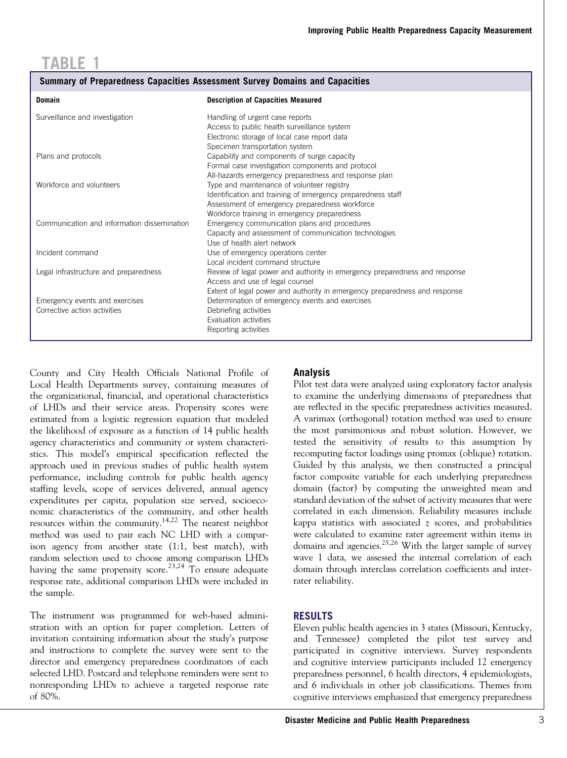# <span id="page-2-0"></span>TABLE 1

| Summary of Preparedness Capacities Assessment Survey Domains and Capacities |                                                                                      |  |  |  |  |
|-----------------------------------------------------------------------------|--------------------------------------------------------------------------------------|--|--|--|--|
| <b>Domain</b>                                                               | <b>Description of Capacities Measured</b>                                            |  |  |  |  |
| Surveillance and investigation                                              | Handling of urgent case reports<br>Access to public health surveillance system       |  |  |  |  |
|                                                                             | Electronic storage of local case report data                                         |  |  |  |  |
|                                                                             | Specimen transportation system                                                       |  |  |  |  |
| Plans and protocols                                                         | Capability and components of surge capacity                                          |  |  |  |  |
|                                                                             | Formal case investigation components and protocol                                    |  |  |  |  |
|                                                                             | All-hazards emergency preparedness and response plan                                 |  |  |  |  |
| Workforce and volunteers                                                    | Type and maintenance of volunteer registry                                           |  |  |  |  |
|                                                                             | Identification and training of emergency preparedness staff                          |  |  |  |  |
|                                                                             | Assessment of emergency preparedness workforce                                       |  |  |  |  |
| Communication and information dissemination                                 | Workforce training in emergency preparedness                                         |  |  |  |  |
|                                                                             | Emergency communication plans and procedures                                         |  |  |  |  |
|                                                                             | Capacity and assessment of communication technologies<br>Use of health alert network |  |  |  |  |
| Incident command                                                            | Use of emergency operations center                                                   |  |  |  |  |
|                                                                             | Local incident command structure                                                     |  |  |  |  |
| Legal infrastructure and preparedness                                       | Review of legal power and authority in emergency preparedness and response           |  |  |  |  |
|                                                                             | Access and use of legal counsel                                                      |  |  |  |  |
|                                                                             | Extent of legal power and authority in emergency preparedness and response           |  |  |  |  |
| Emergency events and exercises                                              | Determination of emergency events and exercises                                      |  |  |  |  |
| Corrective action activities                                                | Debriefing activities                                                                |  |  |  |  |
|                                                                             | Evaluation activities                                                                |  |  |  |  |
|                                                                             | Reporting activities                                                                 |  |  |  |  |
|                                                                             |                                                                                      |  |  |  |  |

County and City Health Officials National Profile of Local Health Departments survey, containing measures of the organizational, financial, and operational characteristics of LHDs and their service areas. Propensity scores were estimated from a logistic regression equation that modeled the likelihood of exposure as a function of 14 public health agency characteristics and community or system characteristics. This model's empirical specification reflected the approach used in previous studies of public health system performance, including controls for public health agency staffing levels, scope of services delivered, annual agency expenditures per capita, population size served, socioeconomic characteristics of the community, and other health resources within the community.<sup>[14](#page-5-0)[,22](#page-6-0)</sup> The nearest neighbor method was used to pair each NC LHD with a comparison agency from another state (1:1, best match), with random selection used to choose among comparison LHDs having the same propensity score.<sup>[23](#page-6-0),[24](#page-6-0)</sup> To ensure adequate response rate, additional comparison LHDs were included in the sample.

The instrument was programmed for web-based administration with an option for paper completion. Letters of invitation containing information about the study's purpose and instructions to complete the survey were sent to the director and emergency preparedness coordinators of each selected LHD. Postcard and telephone reminders were sent to nonresponding LHDs to achieve a targeted response rate of 80%.

## Analysis

Pilot test data were analyzed using exploratory factor analysis to examine the underlying dimensions of preparedness that are reflected in the specific preparedness activities measured. A varimax (orthogonal) rotation method was used to ensure the most parsimonious and robust solution. However, we tested the sensitivity of results to this assumption by recomputing factor loadings using promax (oblique) rotation. Guided by this analysis, we then constructed a principal factor composite variable for each underlying preparedness domain (factor) by computing the unweighted mean and standard deviation of the subset of activity measures that were correlated in each dimension. Reliability measures include kappa statistics with associated  $\zeta$  scores, and probabilities were calculated to examine rater agreement within items in domains and agencies.[25,26](#page-6-0) With the larger sample of survey wave 1 data, we assessed the internal correlation of each domain through interclass correlation coefficients and interrater reliability.

## RESULTS

Eleven public health agencies in 3 states (Missouri, Kentucky, and Tennessee) completed the pilot test survey and participated in cognitive interviews. Survey respondents and cognitive interview participants included 12 emergency preparedness personnel, 6 health directors, 4 epidemiologists, and 6 individuals in other job classifications. Themes from cognitive interviews emphasized that emergency preparedness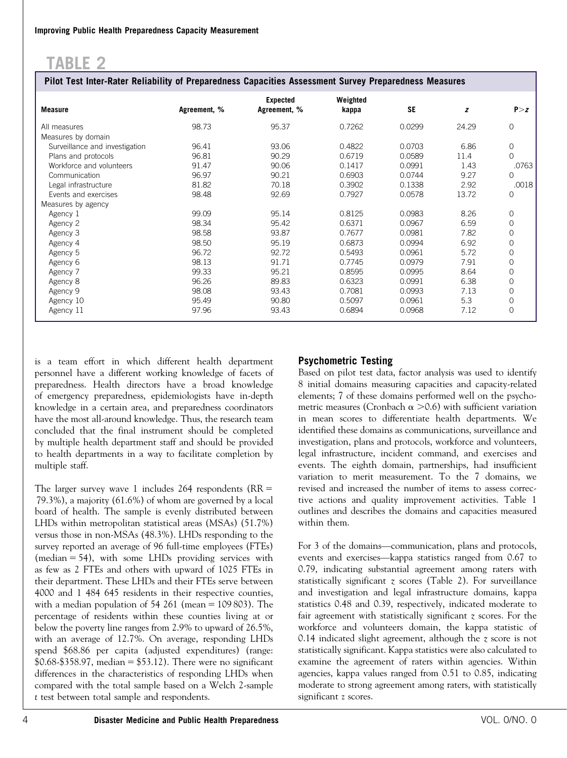# TABLE 2

| <b>Measure</b>                 | Agreement, % | <b>Expected</b><br>Agreement, % | Weighted<br>kappa | <b>SE</b> | z     | P > z    |
|--------------------------------|--------------|---------------------------------|-------------------|-----------|-------|----------|
| All measures                   | 98.73        | 95.37                           | 0.7262            | 0.0299    | 24.29 | $\Omega$ |
| Measures by domain             |              |                                 |                   |           |       |          |
| Surveillance and investigation | 96.41        | 93.06                           | 0.4822            | 0.0703    | 6.86  | 0        |
| Plans and protocols            | 96.81        | 90.29                           | 0.6719            | 0.0589    | 11.4  | $\Omega$ |
| Workforce and volunteers       | 91.47        | 90.06                           | 0.1417            | 0.0991    | 1.43  | .0763    |
| Communication                  | 96.97        | 90.21                           | 0.6903            | 0.0744    | 9.27  | 0        |
| Legal infrastructure           | 81.82        | 70.18                           | 0.3902            | 0.1338    | 2.92  | .0018    |
| Events and exercises           | 98.48        | 92.69                           | 0.7927            | 0.0578    | 13.72 | $\Omega$ |
| Measures by agency             |              |                                 |                   |           |       |          |
| Agency 1                       | 99.09        | 95.14                           | 0.8125            | 0.0983    | 8.26  | 0        |
| Agency 2                       | 98.34        | 95.42                           | 0.6371            | 0.0967    | 6.59  | $\Omega$ |
| Agency 3                       | 98.58        | 93.87                           | 0.7677            | 0.0981    | 7.82  | 0        |
| Agency 4                       | 98.50        | 95.19                           | 0.6873            | 0.0994    | 6.92  | 0        |
| Agency 5                       | 96.72        | 92.72                           | 0.5493            | 0.0961    | 5.72  | $\Omega$ |
| Agency 6                       | 98.13        | 91.71                           | 0.7745            | 0.0979    | 7.91  | $\Omega$ |
| Agency 7                       | 99.33        | 95.21                           | 0.8595            | 0.0995    | 8.64  | $\Omega$ |
| Agency 8                       | 96.26        | 89.83                           | 0.6323            | 0.0991    | 6.38  | 0        |
| Agency 9                       | 98.08        | 93.43                           | 0.7081            | 0.0993    | 7.13  | $\Omega$ |
| Agency 10                      | 95.49        | 90.80                           | 0.5097            | 0.0961    | 5.3   | 0        |
| Agency 11                      | 97.96        | 93.43                           | 0.6894            | 0.0968    | 7.12  | $\Omega$ |

is a team effort in which different health department personnel have a different working knowledge of facets of preparedness. Health directors have a broad knowledge of emergency preparedness, epidemiologists have in-depth knowledge in a certain area, and preparedness coordinators have the most all-around knowledge. Thus, the research team concluded that the final instrument should be completed by multiple health department staff and should be provided to health departments in a way to facilitate completion by multiple staff.

The larger survey wave 1 includes 264 respondents ( $RR =$ 79.3%), a majority (61.6%) of whom are governed by a local board of health. The sample is evenly distributed between LHDs within metropolitan statistical areas (MSAs) (51.7%) versus those in non-MSAs (48.3%). LHDs responding to the survey reported an average of 96 full-time employees (FTEs)  $(median = 54)$ , with some LHDs providing services with as few as 2 FTEs and others with upward of 1025 FTEs in their department. These LHDs and their FTEs serve between 4000 and 1 484 645 residents in their respective counties, with a median population of 54 261 (mean  $= 109 803$ ). The percentage of residents within these counties living at or below the poverty line ranges from 2.9% to upward of 26.5%, with an average of 12.7%. On average, responding LHDs spend \$68.86 per capita (adjusted expenditures) (range:  $$0.68$-$358.97$ , median = \$53.12). There were no significant differences in the characteristics of responding LHDs when compared with the total sample based on a Welch 2-sample t test between total sample and respondents.

# Psychometric Testing

Based on pilot test data, factor analysis was used to identify 8 initial domains measuring capacities and capacity-related elements; 7 of these domains performed well on the psychometric measures (Cronbach  $\alpha > 0.6$ ) with sufficient variation in mean scores to differentiate health departments. We identified these domains as communications, surveillance and investigation, plans and protocols, workforce and volunteers, legal infrastructure, incident command, and exercises and events. The eighth domain, partnerships, had insufficient variation to merit measurement. To the 7 domains, we revised and increased the number of items to assess corrective actions and quality improvement activities. [Table 1](#page-2-0) outlines and describes the domains and capacities measured within them.

For 3 of the domains—communication, plans and protocols, events and exercises—kappa statistics ranged from 0.67 to 0.79, indicating substantial agreement among raters with statistically significant z scores (Table 2). For surveillance and investigation and legal infrastructure domains, kappa statistics 0.48 and 0.39, respectively, indicated moderate to fair agreement with statistically significant z scores. For the workforce and volunteers domain, the kappa statistic of 0.14 indicated slight agreement, although the  $\zeta$  score is not statistically significant. Kappa statistics were also calculated to examine the agreement of raters within agencies. Within agencies, kappa values ranged from 0.51 to 0.85, indicating moderate to strong agreement among raters, with statistically significant z scores.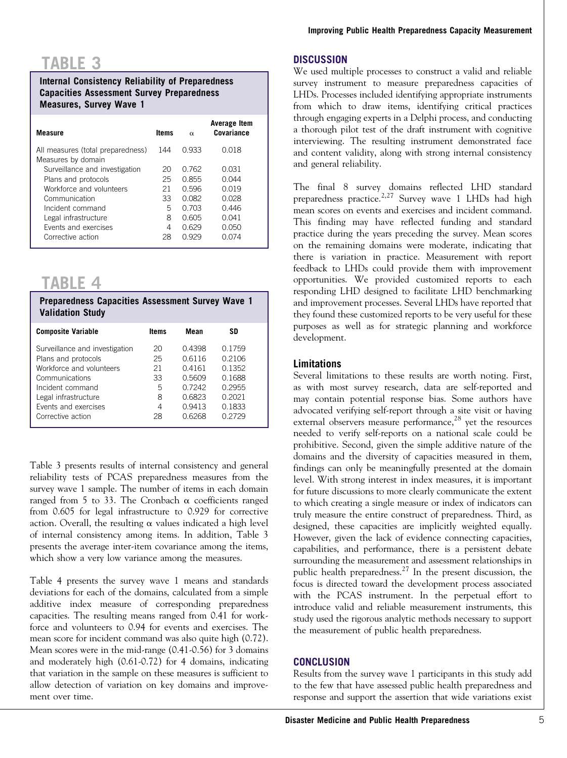# TABLE 3

#### Internal Consistency Reliability of Preparedness Capacities Assessment Survey Preparedness Measures, Survey Wave 1

| <b>Measure</b>                                          | <b>Items</b> | $\alpha$ | Average Item<br>Covariance |
|---------------------------------------------------------|--------------|----------|----------------------------|
| All measures (total preparedness)<br>Measures by domain | 144          | 0.933    | 0.018                      |
| Surveillance and investigation                          | 20           | 0.762    | 0.031                      |
| Plans and protocols                                     | 25           | 0.855    | 0.044                      |
| Workforce and volunteers                                | 21           | 0.596    | 0.019                      |
| Communication                                           | 33           | 0.082    | 0.028                      |
| Incident command                                        | 5            | 0.703    | 0.446                      |
| Legal infrastructure                                    | 8            | 0.605    | 0.041                      |
| Events and exercises                                    | 4            | 0.629    | 0.050                      |
| Corrective action                                       | 28           | 0.929    | 0.074                      |

# TABLE 4

Preparedness Capacities Assessment Survey Wave 1 Validation Study Composite Variable **Items** Mean SD Surveillance and investigation 20 0.4398 0.1759 Plans and protocols 25 0.6116 0.2106 Workforce and volunteers  $21$  0.4161 0.1352 Communications 33 0.5609 0.1688 Incident command 5 0.7242 0.2955 Legal infrastructure 8 0.6823 0.2021 Events and exercises and the series of the series and the series of the series of the series of the Series of the Series and the Series of the Series of the Series of the Series of the Series of the Series of the Series of Corrective action 28 0.6268 0.2729

Table 3 presents results of internal consistency and general reliability tests of PCAS preparedness measures from the survey wave 1 sample. The number of items in each domain ranged from 5 to 33. The Cronbach  $\alpha$  coefficients ranged from 0.605 for legal infrastructure to 0.929 for corrective action. Overall, the resulting  $\alpha$  values indicated a high level of internal consistency among items. In addition, Table 3 presents the average inter-item covariance among the items, which show a very low variance among the measures.

Table 4 presents the survey wave 1 means and standards deviations for each of the domains, calculated from a simple additive index measure of corresponding preparedness capacities. The resulting means ranged from 0.41 for workforce and volunteers to 0.94 for events and exercises. The mean score for incident command was also quite high (0.72). Mean scores were in the mid-range (0.41-0.56) for 3 domains and moderately high (0.61-0.72) for 4 domains, indicating that variation in the sample on these measures is sufficient to allow detection of variation on key domains and improvement over time.

# **DISCUSSION**

We used multiple processes to construct a valid and reliable survey instrument to measure preparedness capacities of LHDs. Processes included identifying appropriate instruments from which to draw items, identifying critical practices through engaging experts in a Delphi process, and conducting a thorough pilot test of the draft instrument with cognitive interviewing. The resulting instrument demonstrated face and content validity, along with strong internal consistency and general reliability.

The final 8 survey domains reflected LHD standard preparedness practice.<sup>[2](#page-5-0),[27](#page-6-0)</sup> Survey wave 1 LHDs had high mean scores on events and exercises and incident command. This finding may have reflected funding and standard practice during the years preceding the survey. Mean scores on the remaining domains were moderate, indicating that there is variation in practice. Measurement with report feedback to LHDs could provide them with improvement opportunities. We provided customized reports to each responding LHD designed to facilitate LHD benchmarking and improvement processes. Several LHDs have reported that they found these customized reports to be very useful for these purposes as well as for strategic planning and workforce development.

## **Limitations**

Several limitations to these results are worth noting. First, as with most survey research, data are self-reported and may contain potential response bias. Some authors have advocated verifying self-report through a site visit or having external observers measure performance, $28$  yet the resources needed to verify self-reports on a national scale could be prohibitive. Second, given the simple additive nature of the domains and the diversity of capacities measured in them, findings can only be meaningfully presented at the domain level. With strong interest in index measures, it is important for future discussions to more clearly communicate the extent to which creating a single measure or index of indicators can truly measure the entire construct of preparedness. Third, as designed, these capacities are implicitly weighted equally. However, given the lack of evidence connecting capacities, capabilities, and performance, there is a persistent debate surrounding the measurement and assessment relationships in public health preparedness. $27$  In the present discussion, the focus is directed toward the development process associated with the PCAS instrument. In the perpetual effort to introduce valid and reliable measurement instruments, this study used the rigorous analytic methods necessary to support the measurement of public health preparedness.

## **CONCLUSION**

Results from the survey wave 1 participants in this study add to the few that have assessed public health preparedness and response and support the assertion that wide variations exist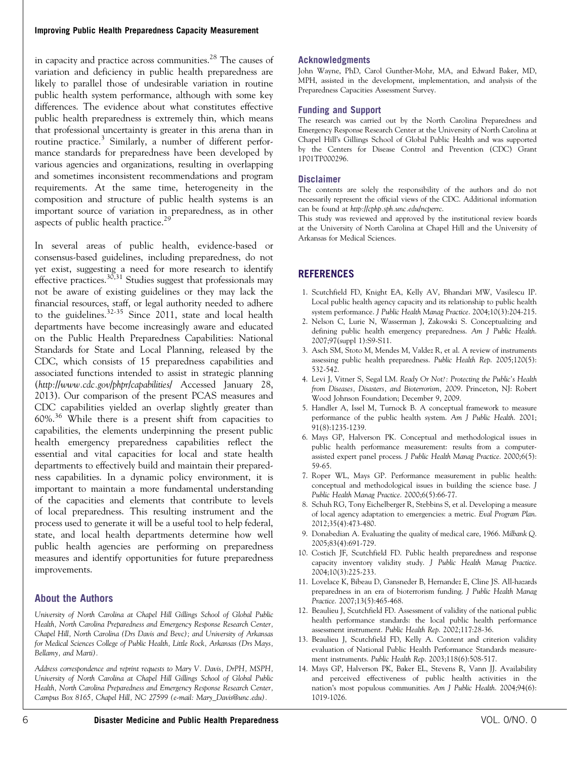<span id="page-5-0"></span>in capacity and practice across communities.<sup>[28](#page-6-0)</sup> The causes of variation and deficiency in public health preparedness are likely to parallel those of undesirable variation in routine public health system performance, although with some key differences. The evidence about what constitutes effective public health preparedness is extremely thin, which means that professional uncertainty is greater in this arena than in routine practice.<sup>3</sup> Similarly, a number of different performance standards for preparedness have been developed by various agencies and organizations, resulting in overlapping and sometimes inconsistent recommendations and program requirements. At the same time, heterogeneity in the composition and structure of public health systems is an important source of variation in preparedness, as in other aspects of public health practice.<sup>[29](#page-6-0)</sup>

In several areas of public health, evidence-based or consensus-based guidelines, including preparedness, do not yet exist, suggesting a need for more research to identify effective practices.<sup>[30,31](#page-6-0)</sup> Studies suggest that professionals may not be aware of existing guidelines or they may lack the financial resources, staff, or legal authority needed to adhere to the guidelines.<sup>[32-35](#page-6-0)</sup> Since 2011, state and local health departments have become increasingly aware and educated on the Public Health Preparedness Capabilities: National Standards for State and Local Planning, released by the CDC, which consists of 15 preparedness capabilities and associated functions intended to assist in strategic planning (http://www.cdc.gov/phpr/capabilities/ Accessed January 28, 2013). Our comparison of the present PCAS measures and CDC capabilities yielded an overlap slightly greater than 60%.[36](#page-6-0) While there is a present shift from capacities to capabilities, the elements underpinning the present public health emergency preparedness capabilities reflect the essential and vital capacities for local and state health departments to effectively build and maintain their preparedness capabilities. In a dynamic policy environment, it is important to maintain a more fundamental understanding of the capacities and elements that contribute to levels of local preparedness. This resulting instrument and the process used to generate it will be a useful tool to help federal, state, and local health departments determine how well public health agencies are performing on preparedness measures and identify opportunities for future preparedness improvements.

## About the Authors

University of North Carolina at Chapel Hill Gillings School of Global Public Health, North Carolina Preparedness and Emergency Response Research Center, Chapel Hill, North Carolina (Drs Davis and Bevc); and University of Arkansas for Medical Sciences College of Public Health, Little Rock, Arkansas (Drs Mays, Bellamy, and Marti).

Address correspondence and reprint requests to Mary V. Davis, DrPH, MSPH, University of North Carolina at Chapel Hill Gillings School of Global Public Health, North Carolina Preparedness and Emergency Response Research Center, Campus Box 8165, Chapel Hill, NC 27599 (e-mail: Mary Davis@unc.edu).

John Wayne, PhD, Carol Gunther-Mohr, MA, and Edward Baker, MD, MPH, assisted in the development, implementation, and analysis of the Preparedness Capacities Assessment Survey.

#### Funding and Support

The research was carried out by the North Carolina Preparedness and Emergency Response Research Center at the University of North Carolina at Chapel Hill's Gillings School of Global Public Health and was supported by the Centers for Disease Control and Prevention (CDC) Grant 1P01TP000296.

#### **Disclaimer**

The contents are solely the responsibility of the authors and do not necessarily represent the official views of the CDC. Additional information can be found at http://cphp.sph.unc.edu/ncperrc.

This study was reviewed and approved by the institutional review boards at the University of North Carolina at Chapel Hill and the University of Arkansas for Medical Sciences.

# **REFERENCES**

- 1. Scutchfield FD, Knight EA, Kelly AV, Bhandari MW, Vasilescu IP. Local public health agency capacity and its relationship to public health system performance. J Public Health Manag Practice. 2004;10(3):204-215.
- 2. Nelson C, Lurie N, Wasserman J, Zakowski S. Conceptualizing and defining public health emergency preparedness. Am J Public Health. 2007;97(suppl 1):S9-S11.
- 3. Asch SM, Stoto M, Mendes M, Valdez R, et al. A review of instruments assessing public health preparedness. Public Health Rep. 2005;120(5): 532-542.
- 4. Levi J, Vitner S, Segal LM. Ready Or Not?: Protecting the Public's Health from Diseases, Disasters, and Bioterrorism, 2009. Princeton, NJ: Robert Wood Johnson Foundation; December 9, 2009.
- 5. Handler A, Issel M, Turnock B. A conceptual framework to measure performance of the public health system. Am J Public Health. 2001; 91(8):1235-1239.
- 6. Mays GP, Halverson PK. Conceptual and methodological issues in public health performance measurement: results from a computerassisted expert panel process. J Public Health Manag Practice. 2000;6(5): 59-65.
- 7. Roper WL, Mays GP. Performance measurement in public health: conceptual and methodological issues in building the science base. J Public Health Manag Practice. 2000;6(5):66-77.
- 8. Schuh RG, Tony Eichelberger R, Stebbins S, et al. Developing a measure of local agency adaptation to emergencies: a metric. Eval Program Plan. 2012;35(4):473-480.
- 9. Donabedian A. Evaluating the quality of medical care, 1966. Milbank Q. 2005;83(4):691-729.
- 10. Costich JF, Scutchfield FD. Public health preparedness and response capacity inventory validity study. J Public Health Manag Practice. 2004;10(3):225-233.
- 11. Lovelace K, Bibeau D, Gansneder B, Hernandez E, Cline JS. All-hazards preparedness in an era of bioterrorism funding. J Public Health Manag Practice. 2007;13(5):465-468.
- 12. Beaulieu J, Scutchfield FD. Assessment of validity of the national public health performance standards: the local public health performance assessment instrument. Public Health Rep. 2002;117:28-36.
- 13. Beaulieu J, Scutchfield FD, Kelly A. Content and criterion validity evaluation of National Public Health Performance Standards measurement instruments. Public Health Rep. 2003;118(6):508-517.
- 14. Mays GP, Halverson PK, Baker EL, Stevens R, Vann JJ. Availability and perceived effectiveness of public health activities in the nation's most populous communities. Am J Public Health. 2004;94(6): 1019-1026.